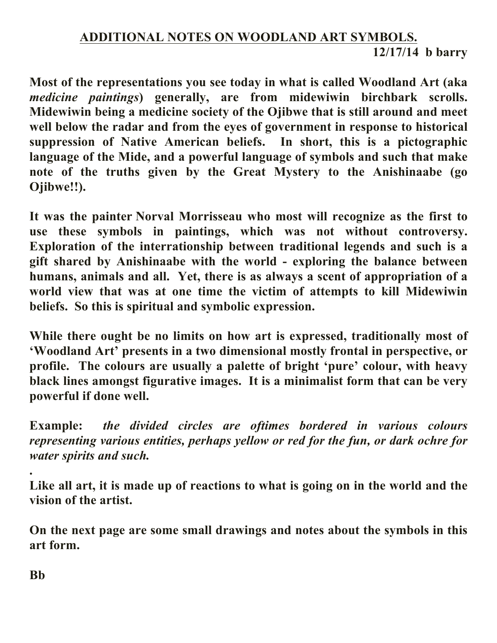## **ADDITIONAL NOTES ON WOODLAND ART SYMBOLS. 12/17/14 b barry**

**Most of the representations you see today in what is called Woodland Art (aka**  *medicine paintings***) generally, are from midewiwin birchbark scrolls. Midewiwin being a medicine society of the Ojibwe that is still around and meet well below the radar and from the eyes of government in response to historical suppression of Native American beliefs. In short, this is a pictographic language of the Mide, and a powerful language of symbols and such that make note of the truths given by the Great Mystery to the Anishinaabe (go Ojibwe!!).**

**It was the painter Norval Morrisseau who most will recognize as the first to use these symbols in paintings, which was not without controversy. Exploration of the interrationship between traditional legends and such is a gift shared by Anishinaabe with the world - exploring the balance between humans, animals and all. Yet, there is as always a scent of appropriation of a world view that was at one time the victim of attempts to kill Midewiwin beliefs. So this is spiritual and symbolic expression.**

**While there ought be no limits on how art is expressed, traditionally most of 'Woodland Art' presents in a two dimensional mostly frontal in perspective, or profile. The colours are usually a palette of bright 'pure' colour, with heavy black lines amongst figurative images. It is a minimalist form that can be very powerful if done well.**

**Example:** *the divided circles are oftimes bordered in various colours representing various entities, perhaps yellow or red for the fun, or dark ochre for water spirits and such.*

**Like all art, it is made up of reactions to what is going on in the world and the vision of the artist.**

**On the next page are some small drawings and notes about the symbols in this art form.**

**Bb**

**.**